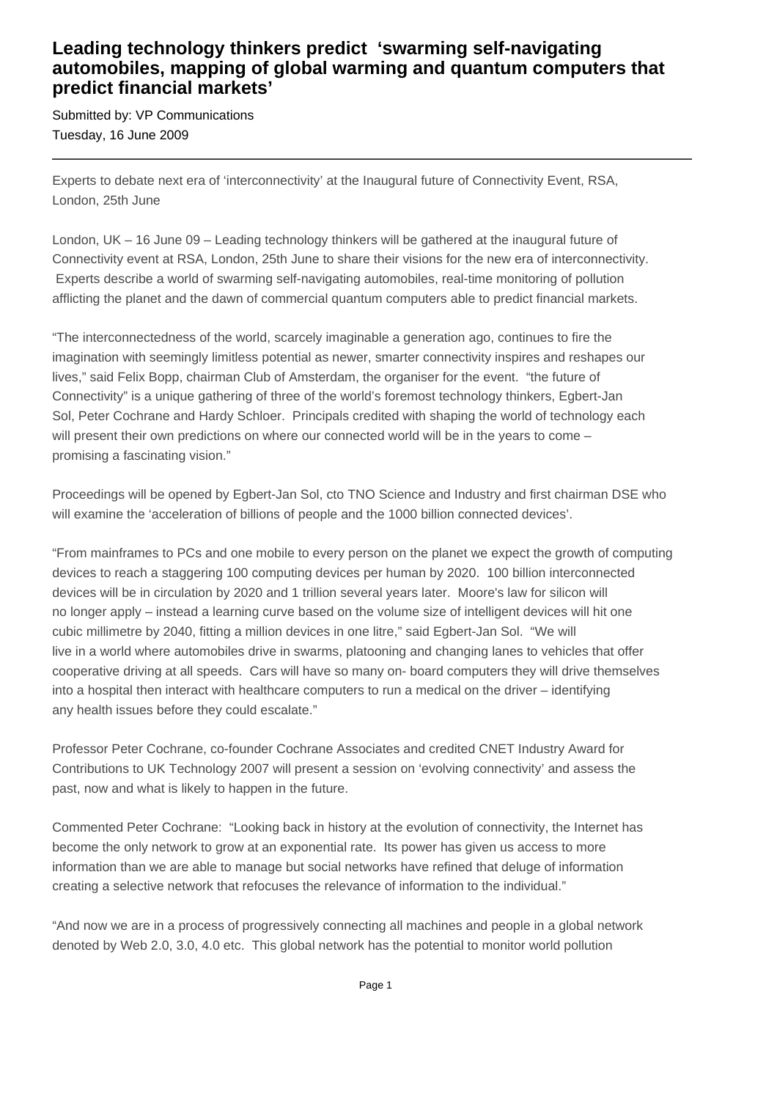## **Leading technology thinkers predict 'swarming self-navigating automobiles, mapping of global warming and quantum computers that predict financial markets'**

Submitted by: VP Communications Tuesday, 16 June 2009

Experts to debate next era of 'interconnectivity' at the Inaugural future of Connectivity Event, RSA, London, 25th June

London, UK – 16 June 09 – Leading technology thinkers will be gathered at the inaugural future of Connectivity event at RSA, London, 25th June to share their visions for the new era of interconnectivity. Experts describe a world of swarming self-navigating automobiles, real-time monitoring of pollution afflicting the planet and the dawn of commercial quantum computers able to predict financial markets.

"The interconnectedness of the world, scarcely imaginable a generation ago, continues to fire the imagination with seemingly limitless potential as newer, smarter connectivity inspires and reshapes our lives," said Felix Bopp, chairman Club of Amsterdam, the organiser for the event. "the future of Connectivity" is a unique gathering of three of the world's foremost technology thinkers, Egbert-Jan Sol, Peter Cochrane and Hardy Schloer. Principals credited with shaping the world of technology each will present their own predictions on where our connected world will be in the years to come – promising a fascinating vision."

Proceedings will be opened by Egbert-Jan Sol, cto TNO Science and Industry and first chairman DSE who will examine the 'acceleration of billions of people and the 1000 billion connected devices'.

"From mainframes to PCs and one mobile to every person on the planet we expect the growth of computing devices to reach a staggering 100 computing devices per human by 2020. 100 billion interconnected devices will be in circulation by 2020 and 1 trillion several years later. Moore's law for silicon will no longer apply – instead a learning curve based on the volume size of intelligent devices will hit one cubic millimetre by 2040, fitting a million devices in one litre," said Egbert-Jan Sol. "We will live in a world where automobiles drive in swarms, platooning and changing lanes to vehicles that offer cooperative driving at all speeds. Cars will have so many on- board computers they will drive themselves into a hospital then interact with healthcare computers to run a medical on the driver – identifying any health issues before they could escalate."

Professor Peter Cochrane, co-founder Cochrane Associates and credited CNET Industry Award for Contributions to UK Technology 2007 will present a session on 'evolving connectivity' and assess the past, now and what is likely to happen in the future.

Commented Peter Cochrane: "Looking back in history at the evolution of connectivity, the Internet has become the only network to grow at an exponential rate. Its power has given us access to more information than we are able to manage but social networks have refined that deluge of information creating a selective network that refocuses the relevance of information to the individual."

"And now we are in a process of progressively connecting all machines and people in a global network denoted by Web 2.0, 3.0, 4.0 etc. This global network has the potential to monitor world pollution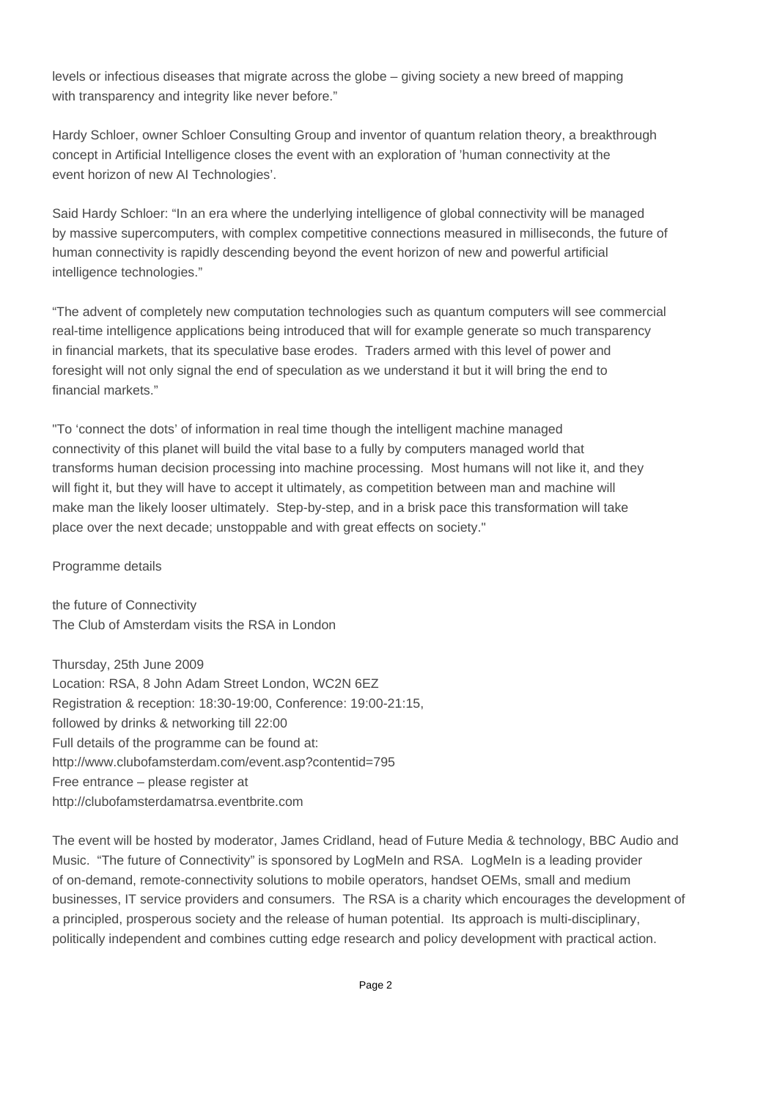levels or infectious diseases that migrate across the globe – giving society a new breed of mapping with transparency and integrity like never before."

Hardy Schloer, owner Schloer Consulting Group and inventor of quantum relation theory, a breakthrough concept in Artificial Intelligence closes the event with an exploration of 'human connectivity at the event horizon of new AI Technologies'.

Said Hardy Schloer: "In an era where the underlying intelligence of global connectivity will be managed by massive supercomputers, with complex competitive connections measured in milliseconds, the future of human connectivity is rapidly descending beyond the event horizon of new and powerful artificial intelligence technologies."

"The advent of completely new computation technologies such as quantum computers will see commercial real-time intelligence applications being introduced that will for example generate so much transparency in financial markets, that its speculative base erodes. Traders armed with this level of power and foresight will not only signal the end of speculation as we understand it but it will bring the end to financial markets."

"To 'connect the dots' of information in real time though the intelligent machine managed connectivity of this planet will build the vital base to a fully by computers managed world that transforms human decision processing into machine processing. Most humans will not like it, and they will fight it, but they will have to accept it ultimately, as competition between man and machine will make man the likely looser ultimately. Step-by-step, and in a brisk pace this transformation will take place over the next decade; unstoppable and with great effects on society."

Programme details

the future of Connectivity The Club of Amsterdam visits the RSA in London

Thursday, 25th June 2009 Location: RSA, 8 John Adam Street London, WC2N 6EZ Registration & reception: 18:30-19:00, Conference: 19:00-21:15, followed by drinks & networking till 22:00 Full details of the programme can be found at: http://www.clubofamsterdam.com/event.asp?contentid=795 Free entrance – please register at http://clubofamsterdamatrsa.eventbrite.com

The event will be hosted by moderator, James Cridland, head of Future Media & technology, BBC Audio and Music. "The future of Connectivity" is sponsored by LogMeIn and RSA. LogMeIn is a leading provider of on-demand, remote-connectivity solutions to mobile operators, handset OEMs, small and medium businesses, IT service providers and consumers. The RSA is a charity which encourages the development of a principled, prosperous society and the release of human potential. Its approach is multi-disciplinary, politically independent and combines cutting edge research and policy development with practical action.